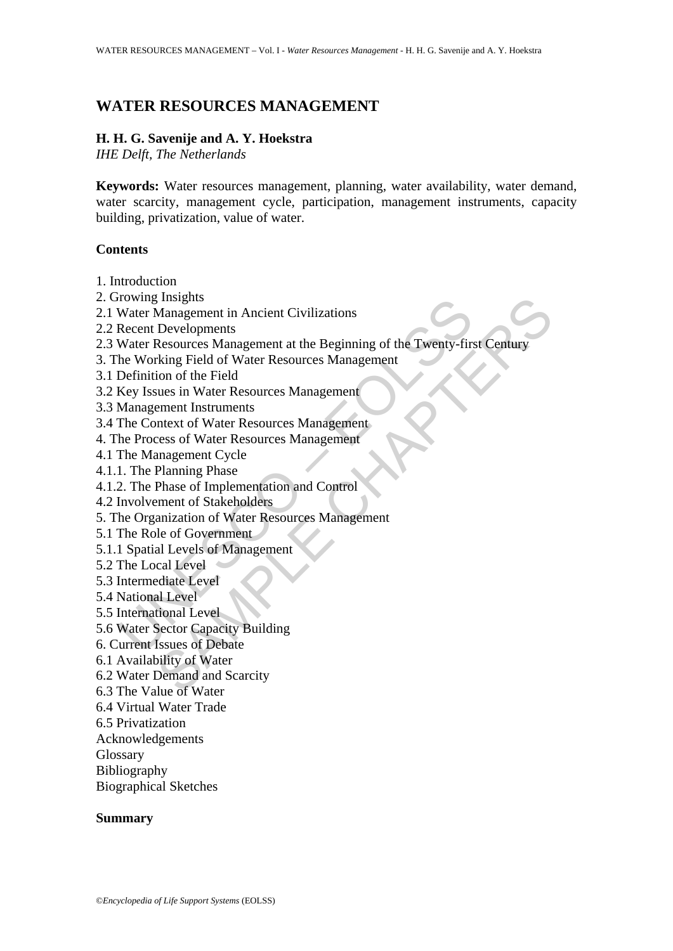# **WATER RESOURCES MANAGEMENT**

#### **H. H. G. Savenije and A. Y. Hoekstra**

*IHE Delft, The Netherlands* 

**Keywords:** Water resources management, planning, water availability, water demand, water scarcity, management cycle, participation, management instruments, capacity building, privatization, value of water.

#### **Contents**

- 1. Introduction
- 2. Growing Insights
- 2.1 Water Management in Ancient Civilizations
- 2.2 Recent Developments
- rowing insignis<br>
Water Management in Ancient Civilizations<br>
Water Management in Ancient Civilizations<br>
Recent Developments<br>
Water Resources Management<br>
Intervaluation of the Field<br>
Hey Issues in Water Resources Management<br> I Insights<br>
Management in Ancient Civilizations<br>
Developments<br>
Resources Management at the Beginning of the Twenty-first Century<br>
Resources Management<br>
the Tel of Water Resources Management<br>
eners of Water Resources Manage 2.3 Water Resources Management at the Beginning of the Twenty-first Century
- 3. The Working Field of Water Resources Management
- 3.1 Definition of the Field
- 3.2 Key Issues in Water Resources Management
- 3.3 Management Instruments
- 3.4 The Context of Water Resources Management
- 4. The Process of Water Resources Management
- 4.1 The Management Cycle
- 4.1.1. The Planning Phase
- 4.1.2. The Phase of Implementation and Control
- 4.2 Involvement of Stakeholders
- 5. The Organization of Water Resources Management
- 5.1 The Role of Government
- 5.1.1 Spatial Levels of Management
- 5.2 The Local Level
- 5.3 Intermediate Level
- 5.4 National Level
- 5.5 International Level
- 5.6 Water Sector Capacity Building
- 6. Current Issues of Debate
- 6.1 Availability of Water
- 6.2 Water Demand and Scarcity
- 6.3 The Value of Water
- 6.4 Virtual Water Trade
- 6.5 Privatization
- Acknowledgements
- Glossary
- Bibliography
- Biographical Sketches

#### **Summary**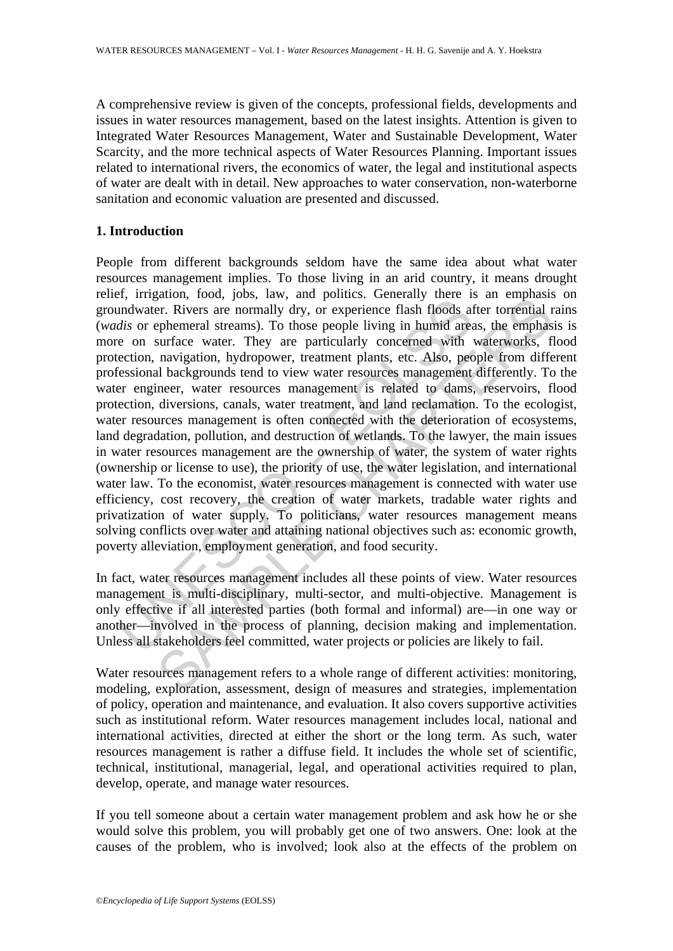A comprehensive review is given of the concepts, professional fields, developments and issues in water resources management, based on the latest insights. Attention is given to Integrated Water Resources Management, Water and Sustainable Development, Water Scarcity, and the more technical aspects of Water Resources Planning. Important issues related to international rivers, the economics of water, the legal and institutional aspects of water are dealt with in detail. New approaches to water conservation, non-waterborne sanitation and economic valuation are presented and discussed.

### **1. Introduction**

A impactor, isola, just, and points. Concern, and points.<br>
Individuater. Rivers are normally dry, or experience flash floods at<br> *dis* or ephemeral streams). To those people living in humid are<br>
e on surface water. They a ganon, ioon, joos, iaw, and pointes: Ocierary inter is an emphasis<br>and ener. Rivers are normally dry, or experience flash floods after torrential repheneral streams). To those people living in humid areas, the emphas<br>surfa People from different backgrounds seldom have the same idea about what water resources management implies. To those living in an arid country, it means drought relief, irrigation, food, jobs, law, and politics. Generally there is an emphasis on groundwater. Rivers are normally dry, or experience flash floods after torrential rains (*wadis* or ephemeral streams). To those people living in humid areas, the emphasis is more on surface water. They are particularly concerned with waterworks, flood protection, navigation, hydropower, treatment plants, etc. Also, people from different professional backgrounds tend to view water resources management differently. To the water engineer, water resources management is related to dams, reservoirs, flood protection, diversions, canals, water treatment, and land reclamation. To the ecologist, water resources management is often connected with the deterioration of ecosystems, land degradation, pollution, and destruction of wetlands. To the lawyer, the main issues in water resources management are the ownership of water, the system of water rights (ownership or license to use), the priority of use, the water legislation, and international water law. To the economist, water resources management is connected with water use efficiency, cost recovery, the creation of water markets, tradable water rights and privatization of water supply. To politicians, water resources management means solving conflicts over water and attaining national objectives such as: economic growth, poverty alleviation, employment generation, and food security.

In fact, water resources management includes all these points of view. Water resources management is multi-disciplinary, multi-sector, and multi-objective. Management is only effective if all interested parties (both formal and informal) are—in one way or another—involved in the process of planning, decision making and implementation. Unless all stakeholders feel committed, water projects or policies are likely to fail.

Water resources management refers to a whole range of different activities: monitoring, modeling, exploration, assessment, design of measures and strategies, implementation of policy, operation and maintenance, and evaluation. It also covers supportive activities such as institutional reform. Water resources management includes local, national and international activities, directed at either the short or the long term. As such, water resources management is rather a diffuse field. It includes the whole set of scientific, technical, institutional, managerial, legal, and operational activities required to plan, develop, operate, and manage water resources.

If you tell someone about a certain water management problem and ask how he or she would solve this problem, you will probably get one of two answers. One: look at the causes of the problem, who is involved; look also at the effects of the problem on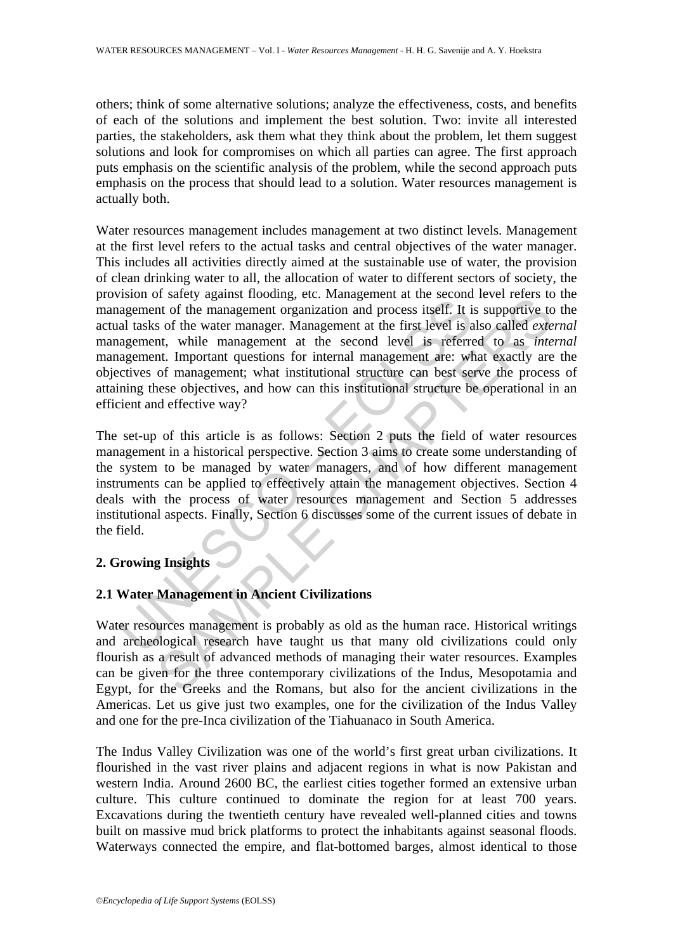others; think of some alternative solutions; analyze the effectiveness, costs, and benefits of each of the solutions and implement the best solution. Two: invite all interested parties, the stakeholders, ask them what they think about the problem, let them suggest solutions and look for compromises on which all parties can agree. The first approach puts emphasis on the scientific analysis of the problem, while the second approach puts emphasis on the process that should lead to a solution. Water resources management is actually both.

Example management of the management organization and process itself. It is a<br>agement of the management organization and process itself. It is<br>al tasks of the water management organization and process itself. It is<br>al task Sacry against notours, cut. Maragement as are section as the section of the management organization and process itself. It is supportive to so for the water management organization and process itself. It is supportive to s Water resources management includes management at two distinct levels. Management at the first level refers to the actual tasks and central objectives of the water manager. This includes all activities directly aimed at the sustainable use of water, the provision of clean drinking water to all, the allocation of water to different sectors of society, the provision of safety against flooding, etc. Management at the second level refers to the management of the management organization and process itself. It is supportive to the actual tasks of the water manager. Management at the first level is also called *external* management, while management at the second level is referred to as *internal*  management. Important questions for internal management are: what exactly are the objectives of management; what institutional structure can best serve the process of attaining these objectives, and how can this institutional structure be operational in an efficient and effective way?

The set-up of this article is as follows: Section 2 puts the field of water resources management in a historical perspective. Section 3 aims to create some understanding of the system to be managed by water managers, and of how different management instruments can be applied to effectively attain the management objectives. Section 4 deals with the process of water resources management and Section 5 addresses institutional aspects. Finally, Section 6 discusses some of the current issues of debate in the field.

### **2. Growing Insights**

## **2.1 Water Management in Ancient Civilizations**

Water resources management is probably as old as the human race. Historical writings and archeological research have taught us that many old civilizations could only flourish as a result of advanced methods of managing their water resources. Examples can be given for the three contemporary civilizations of the Indus, Mesopotamia and Egypt, for the Greeks and the Romans, but also for the ancient civilizations in the Americas. Let us give just two examples, one for the civilization of the Indus Valley and one for the pre-Inca civilization of the Tiahuanaco in South America.

The Indus Valley Civilization was one of the world's first great urban civilizations. It flourished in the vast river plains and adjacent regions in what is now Pakistan and western India. Around 2600 BC, the earliest cities together formed an extensive urban culture. This culture continued to dominate the region for at least 700 years. Excavations during the twentieth century have revealed well-planned cities and towns built on massive mud brick platforms to protect the inhabitants against seasonal floods. Waterways connected the empire, and flat-bottomed barges, almost identical to those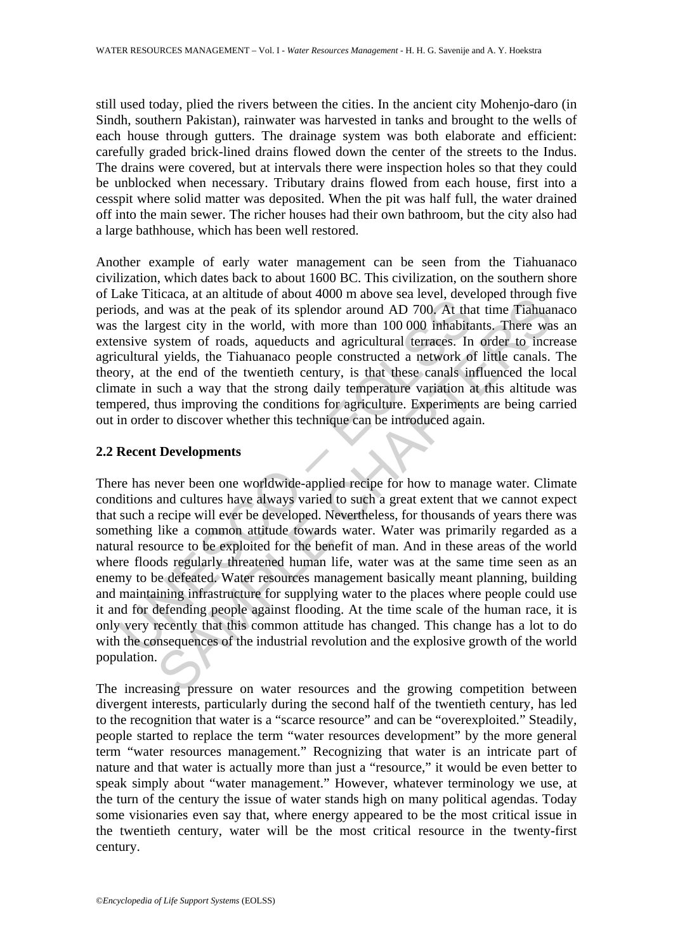still used today, plied the rivers between the cities. In the ancient city Mohenjo-daro (in Sindh, southern Pakistan), rainwater was harvested in tanks and brought to the wells of each house through gutters. The drainage system was both elaborate and efficient: carefully graded brick-lined drains flowed down the center of the streets to the Indus. The drains were covered, but at intervals there were inspection holes so that they could be unblocked when necessary. Tributary drains flowed from each house, first into a cesspit where solid matter was deposited. When the pit was half full, the water drained off into the main sewer. The richer houses had their own bathroom, but the city also had a large bathhouse, which has been well restored.

Another example of early water management can be seen from the Tiahuanaco civilization, which dates back to about 1600 BC. This civilization, on the southern shore of Lake Titicaca, at an altitude of about 4000 m above sea level, developed through five periods, and was at the peak of its splendor around AD 700. At that time Tiahuanaco was the largest city in the world, with more than 100 000 inhabitants. There was an extensive system of roads, aqueducts and agricultural terraces. In order to increase agricultural yields, the Tiahuanaco people constructed a network of little canals. The theory, at the end of the twentieth century, is that these canals influenced the local climate in such a way that the strong daily temperature variation at this altitude was tempered, thus improving the conditions for agriculture. Experiments are being carried out in order to discover whether this technique can be introduced again.

### **2.2 Recent Developments**

and was at the peak of its splendor around AD 700. At that the largest city, and was at the peak of its splendor around AD 700. At the largest city in the world, with more than 100 000 inhabitansive system of roads, aquedu Letter, at an antitude of about 4000 m above sear ever, accounting the system of the system of roads, aqueducts and agricultural terraces. In order to increase the end of the tworld, with more than 100 000 inhabitants. The There has never been one worldwide-applied recipe for how to manage water. Climate conditions and cultures have always varied to such a great extent that we cannot expect that such a recipe will ever be developed. Nevertheless, for thousands of years there was something like a common attitude towards water. Water was primarily regarded as a natural resource to be exploited for the benefit of man. And in these areas of the world where floods regularly threatened human life, water was at the same time seen as an enemy to be defeated. Water resources management basically meant planning, building and maintaining infrastructure for supplying water to the places where people could use it and for defending people against flooding. At the time scale of the human race, it is only very recently that this common attitude has changed. This change has a lot to do with the consequences of the industrial revolution and the explosive growth of the world population.

The increasing pressure on water resources and the growing competition between divergent interests, particularly during the second half of the twentieth century, has led to the recognition that water is a "scarce resource" and can be "overexploited." Steadily, people started to replace the term "water resources development" by the more general term "water resources management." Recognizing that water is an intricate part of nature and that water is actually more than just a "resource," it would be even better to speak simply about "water management." However, whatever terminology we use, at the turn of the century the issue of water stands high on many political agendas. Today some visionaries even say that, where energy appeared to be the most critical issue in the twentieth century, water will be the most critical resource in the twenty-first century.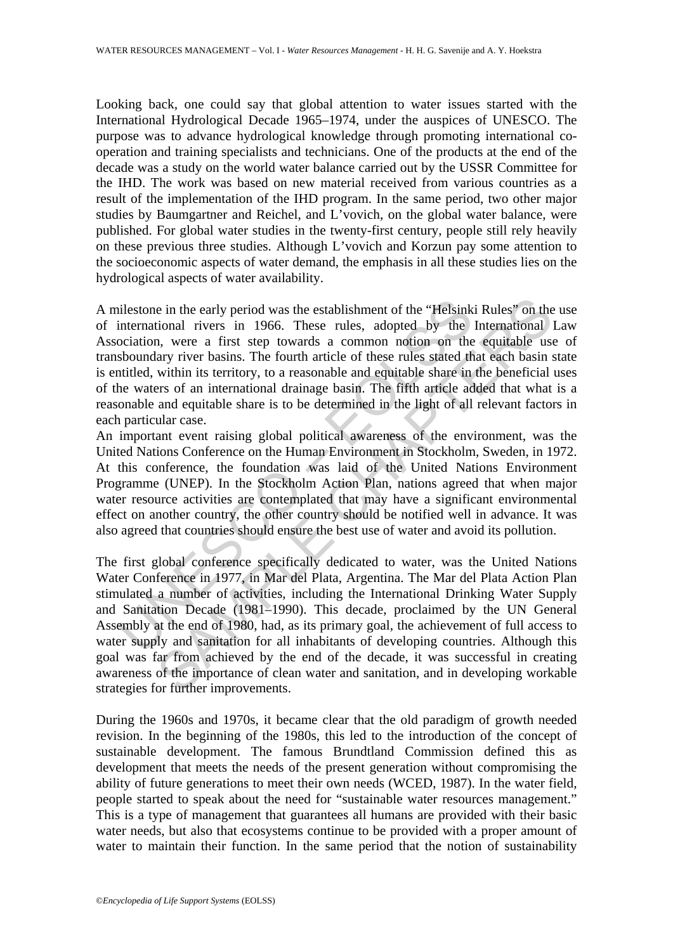Looking back, one could say that global attention to water issues started with the International Hydrological Decade 1965–1974, under the auspices of UNESCO. The purpose was to advance hydrological knowledge through promoting international cooperation and training specialists and technicians. One of the products at the end of the decade was a study on the world water balance carried out by the USSR Committee for the IHD. The work was based on new material received from various countries as a result of the implementation of the IHD program. In the same period, two other major studies by Baumgartner and Reichel, and L'vovich, on the global water balance, were published. For global water studies in the twenty-first century, people still rely heavily on these previous three studies. Although L'vovich and Korzun pay some attention to the socioeconomic aspects of water demand, the emphasis in all these studies lies on the hydrological aspects of water availability.

illestone in the early period was the establishment of the "Helsink<br>international rivers in 1966. These rules, adopted by the<br>ociation, were a first step towards a common notion on the<br>sboundary river basins. The fourth ar A milestone in the early period was the establishment of the "Helsinki Rules" on the use of international rivers in 1966. These rules, adopted by the International Law Association, were a first step towards a common notion on the equitable use of transboundary river basins. The fourth article of these rules stated that each basin state is entitled, within its territory, to a reasonable and equitable share in the beneficial uses of the waters of an international drainage basin. The fifth article added that what is a reasonable and equitable share is to be determined in the light of all relevant factors in each particular case.

An important event raising global political awareness of the environment, was the United Nations Conference on the Human Environment in Stockholm, Sweden, in 1972. At this conference, the foundation was laid of the United Nations Environment Programme (UNEP). In the Stockholm Action Plan, nations agreed that when major water resource activities are contemplated that may have a significant environmental effect on another country, the other country should be notified well in advance. It was also agreed that countries should ensure the best use of water and avoid its pollution.

e in the early period was the establishment of the "Helsinki Rules" on the<br>tional rivers in 1966. These rules, adopted by the International<br>n, were a first step towards a common notion on the equitable usary<br>invive basins. The first global conference specifically dedicated to water, was the United Nations Water Conference in 1977, in Mar del Plata, Argentina. The Mar del Plata Action Plan stimulated a number of activities, including the International Drinking Water Supply and Sanitation Decade (1981–1990). This decade, proclaimed by the UN General Assembly at the end of 1980, had, as its primary goal, the achievement of full access to water supply and sanitation for all inhabitants of developing countries. Although this goal was far from achieved by the end of the decade, it was successful in creating awareness of the importance of clean water and sanitation, and in developing workable strategies for further improvements.

During the 1960s and 1970s, it became clear that the old paradigm of growth needed revision. In the beginning of the 1980s, this led to the introduction of the concept of sustainable development. The famous Brundtland Commission defined this as development that meets the needs of the present generation without compromising the ability of future generations to meet their own needs (WCED, 1987). In the water field, people started to speak about the need for "sustainable water resources management." This is a type of management that guarantees all humans are provided with their basic water needs, but also that ecosystems continue to be provided with a proper amount of water to maintain their function. In the same period that the notion of sustainability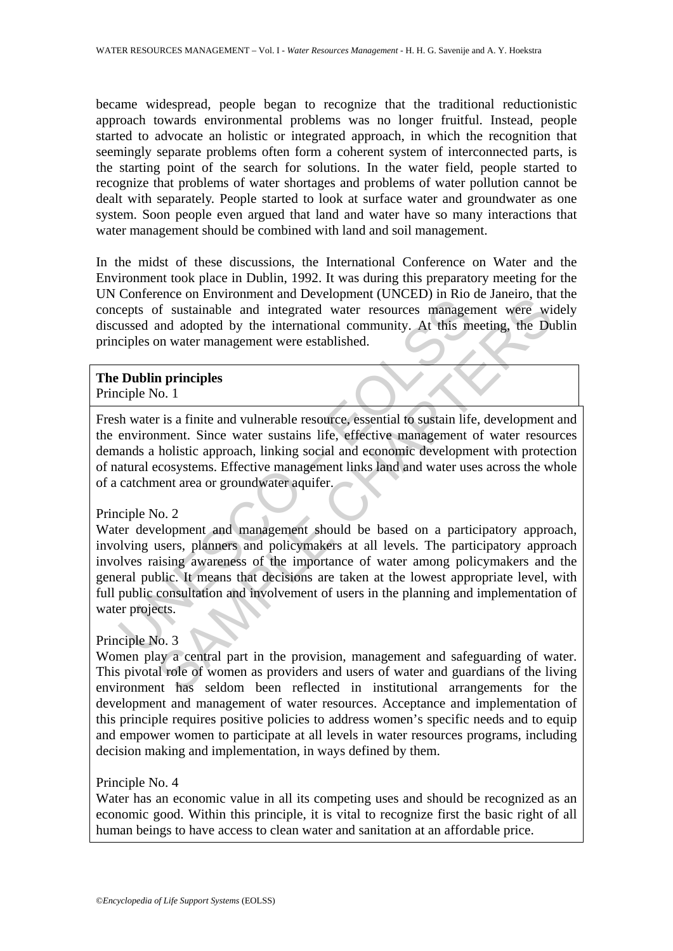became widespread, people began to recognize that the traditional reductionistic approach towards environmental problems was no longer fruitful. Instead, people started to advocate an holistic or integrated approach, in which the recognition that seemingly separate problems often form a coherent system of interconnected parts, is the starting point of the search for solutions. In the water field, people started to recognize that problems of water shortages and problems of water pollution cannot be dealt with separately. People started to look at surface water and groundwater as one system. Soon people even argued that land and water have so many interactions that water management should be combined with land and soil management.

In the midst of these discussions, the International Conference on Water and the Environment took place in Dublin, 1992. It was during this preparatory meeting for the UN Conference on Environment and Development (UNCED) in Rio de Janeiro, that the concepts of sustainable and integrated water resources management were widely discussed and adopted by the international community. At this meeting, the Dublin principles on water management were established.

### **The Dublin principles**  Principle No. 1

Fresh water is a finite and vulnerable resource, essential to sustain life, development and the environment. Since water sustains life, effective management of water resources demands a holistic approach, linking social and economic development with protection of natural ecosystems. Effective management links land and water uses across the whole of a catchment area or groundwater aquifer.

### Principle No. 2

Example and integrated water resources management<br>cepts of sustainable and integrated water resources managements<br>ussed and adopted by the international community. At this m<br>ciples on water management were established.<br><br>**D** Example and interpendicular convertions and interpendicular the between the streament were with the unit of the international community. At this meeting, the Du<br> **n** principles<br> **n** principles<br> **n** principles<br> **n** principl Water development and management should be based on a participatory approach, involving users, planners and policymakers at all levels. The participatory approach involves raising awareness of the importance of water among policymakers and the general public. It means that decisions are taken at the lowest appropriate level, with full public consultation and involvement of users in the planning and implementation of water projects.

### Principle No. 3

Women play a central part in the provision, management and safeguarding of water. This pivotal role of women as providers and users of water and guardians of the living environment has seldom been reflected in institutional arrangements for the development and management of water resources. Acceptance and implementation of this principle requires positive policies to address women's specific needs and to equip and empower women to participate at all levels in water resources programs, including decision making and implementation, in ways defined by them.

Principle No. 4

Water has an economic value in all its competing uses and should be recognized as an economic good. Within this principle, it is vital to recognize first the basic right of all human beings to have access to clean water and sanitation at an affordable price.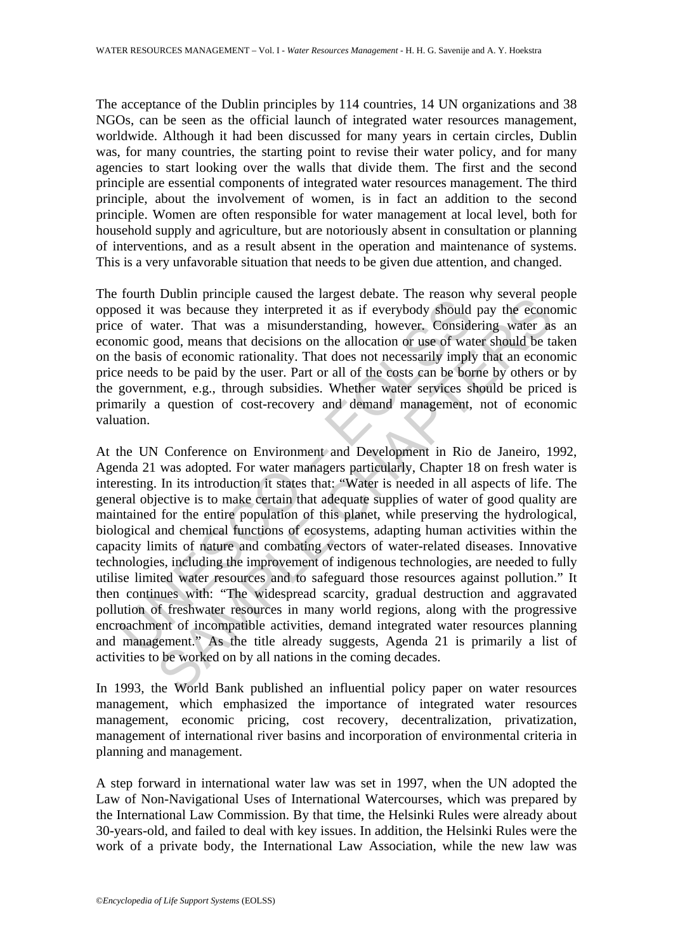The acceptance of the Dublin principles by 114 countries, 14 UN organizations and 38 NGOs, can be seen as the official launch of integrated water resources management, worldwide. Although it had been discussed for many years in certain circles, Dublin was, for many countries, the starting point to revise their water policy, and for many agencies to start looking over the walls that divide them. The first and the second principle are essential components of integrated water resources management. The third principle, about the involvement of women, is in fact an addition to the second principle. Women are often responsible for water management at local level, both for household supply and agriculture, but are notoriously absent in consultation or planning of interventions, and as a result absent in the operation and maintenance of systems. This is a very unfavorable situation that needs to be given due attention, and changed.

The fourth Dublin principle caused the largest debate. The reason why several people opposed it was because they interpreted it as if everybody should pay the economic price of water. That was a misunderstanding, however. Considering water as an economic good, means that decisions on the allocation or use of water should be taken on the basis of economic rationality. That does not necessarily imply that an economic price needs to be paid by the user. Part or all of the costs can be borne by others or by the government, e.g., through subsidies. Whether water services should be priced is primarily a question of cost-recovery and demand management, not of economic valuation.

From Demotion and altertial and altertial and altertial and altertial and altertial and altertial and altertial and altertial and altertial and the total and the pass of economic rationality. That does not necessarily impl Dram pinelpic caasca in cargest ucour. The teason way several per and was because they interpreted it as if everybody should pay the econd<br>was because they interpreted it as if everybody should pay the econd<br>water. That wa At the UN Conference on Environment and Development in Rio de Janeiro, 1992, Agenda 21 was adopted. For water managers particularly, Chapter 18 on fresh water is interesting. In its introduction it states that: "Water is needed in all aspects of life. The general objective is to make certain that adequate supplies of water of good quality are maintained for the entire population of this planet, while preserving the hydrological, biological and chemical functions of ecosystems, adapting human activities within the capacity limits of nature and combating vectors of water-related diseases. Innovative technologies, including the improvement of indigenous technologies, are needed to fully utilise limited water resources and to safeguard those resources against pollution." It then continues with: "The widespread scarcity, gradual destruction and aggravated pollution of freshwater resources in many world regions, along with the progressive encroachment of incompatible activities, demand integrated water resources planning and management." As the title already suggests, Agenda 21 is primarily a list of activities to be worked on by all nations in the coming decades.

In 1993, the World Bank published an influential policy paper on water resources management, which emphasized the importance of integrated water resources management, economic pricing, cost recovery, decentralization, privatization, management of international river basins and incorporation of environmental criteria in planning and management.

A step forward in international water law was set in 1997, when the UN adopted the Law of Non-Navigational Uses of International Watercourses, which was prepared by the International Law Commission. By that time, the Helsinki Rules were already about 30-years-old, and failed to deal with key issues. In addition, the Helsinki Rules were the work of a private body, the International Law Association, while the new law was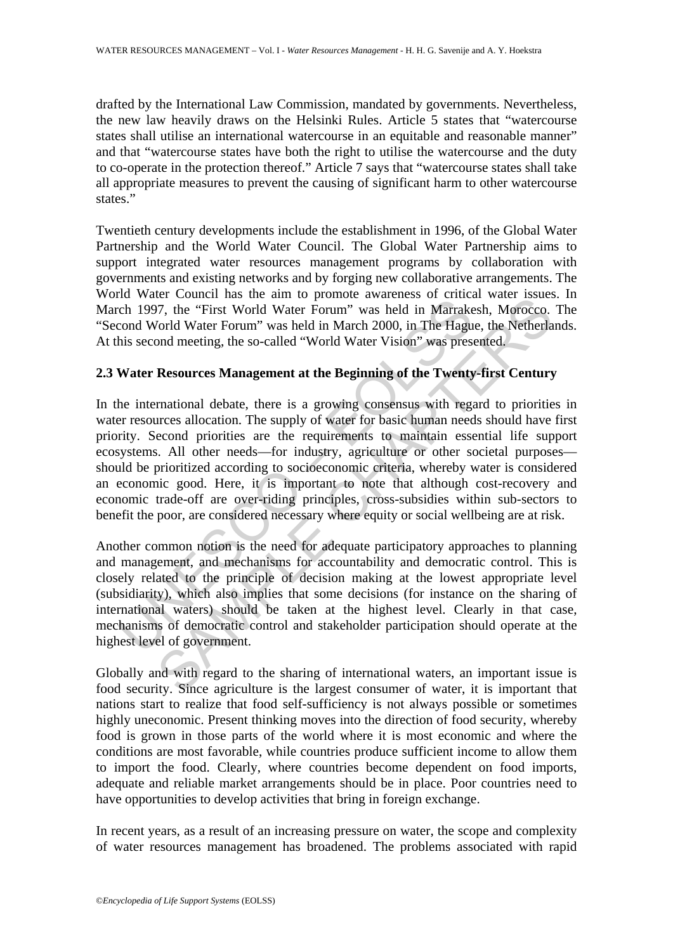drafted by the International Law Commission, mandated by governments. Nevertheless, the new law heavily draws on the Helsinki Rules. Article 5 states that "watercourse states shall utilise an international watercourse in an equitable and reasonable manner" and that "watercourse states have both the right to utilise the watercourse and the duty to co-operate in the protection thereof." Article 7 says that "watercourse states shall take all appropriate measures to prevent the causing of significant harm to other watercourse states."

Twentieth century developments include the establishment in 1996, of the Global Water Partnership and the World Water Council. The Global Water Partnership aims to support integrated water resources management programs by collaboration with governments and existing networks and by forging new collaborative arrangements. The World Water Council has the aim to promote awareness of critical water issues. In March 1997, the "First World Water Forum" was held in Marrakesh, Morocco. The "Second World Water Forum" was held in March 2000, in The Hague, the Netherlands. At this second meeting, the so-called "World Water Vision" was presented.

## **2.3 Water Resources Management at the Beginning of the Twenty-first Century**

The View Theory and the control and the procedure and the control and the control of 1997, the "First World Water Forum" was held in Marrakecond World Water Forum" was held in March 2000, in The Hagu his second meeting, th Let Counter has the aim to promote awareness of cinteral ware.<br>
The "First World Water Forum" was held in Marchaesh, Morocco.<br>
Yorl, the "First World Water Forum" was held in March 2000, in The Hague, the Netherla<br>
Morocco In the international debate, there is a growing consensus with regard to priorities in water resources allocation. The supply of water for basic human needs should have first priority. Second priorities are the requirements to maintain essential life support ecosystems. All other needs—for industry, agriculture or other societal purposes should be prioritized according to socioeconomic criteria, whereby water is considered an economic good. Here, it is important to note that although cost-recovery and economic trade-off are over-riding principles, cross-subsidies within sub-sectors to benefit the poor, are considered necessary where equity or social wellbeing are at risk.

Another common notion is the need for adequate participatory approaches to planning and management, and mechanisms for accountability and democratic control. This is closely related to the principle of decision making at the lowest appropriate level (subsidiarity), which also implies that some decisions (for instance on the sharing of international waters) should be taken at the highest level. Clearly in that case, mechanisms of democratic control and stakeholder participation should operate at the highest level of government.

Globally and with regard to the sharing of international waters, an important issue is food security. Since agriculture is the largest consumer of water, it is important that nations start to realize that food self-sufficiency is not always possible or sometimes highly uneconomic. Present thinking moves into the direction of food security, whereby food is grown in those parts of the world where it is most economic and where the conditions are most favorable, while countries produce sufficient income to allow them to import the food. Clearly, where countries become dependent on food imports, adequate and reliable market arrangements should be in place. Poor countries need to have opportunities to develop activities that bring in foreign exchange.

In recent years, as a result of an increasing pressure on water, the scope and complexity of water resources management has broadened. The problems associated with rapid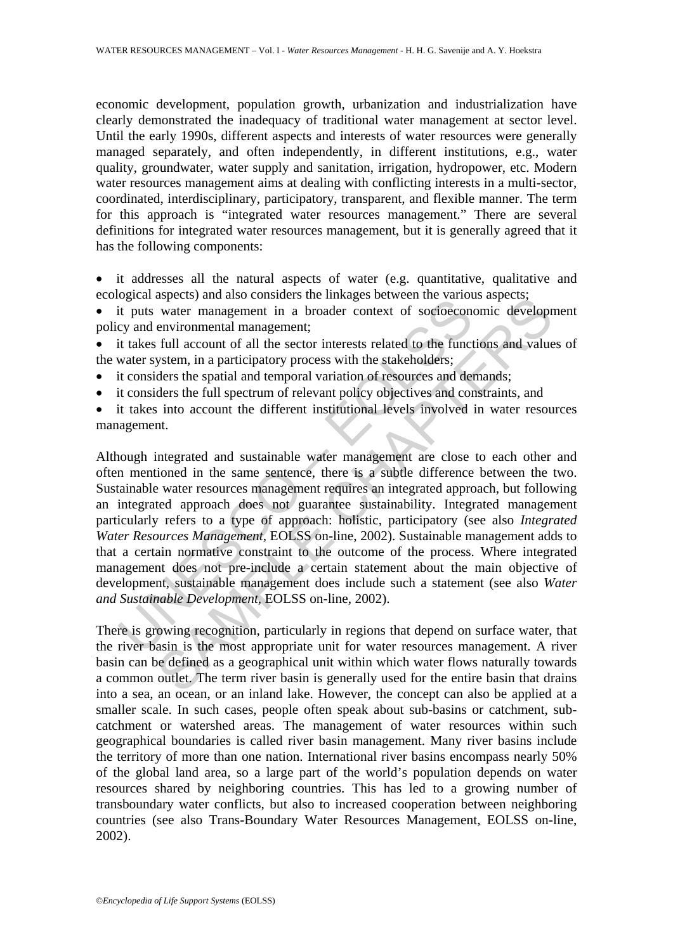economic development, population growth, urbanization and industrialization have clearly demonstrated the inadequacy of traditional water management at sector level. Until the early 1990s, different aspects and interests of water resources were generally managed separately, and often independently, in different institutions, e.g., water quality, groundwater, water supply and sanitation, irrigation, hydropower, etc. Modern water resources management aims at dealing with conflicting interests in a multi-sector, coordinated, interdisciplinary, participatory, transparent, and flexible manner. The term for this approach is "integrated water resources management." There are several definitions for integrated water resources management, but it is generally agreed that it has the following components:

• it addresses all the natural aspects of water (e.g. quantitative, qualitative and ecological aspects) and also considers the linkages between the various aspects;

it puts water management in a broader context of socioeconomic development policy and environmental management;

• it takes full account of all the sector interests related to the functions and values of the water system, in a participatory process with the stakeholders;

- it considers the spatial and temporal variation of resources and demands;
- it considers the full spectrum of relevant policy objectives and constraints, and
- it takes into account the different institutional levels involved in water resources management.

by the and an expectation and considers the mininges between the teamed it puts water management in a broader context of socioecone ey and environmental management; tit akes full account of all the sector interests related syects) and asso considers the images between the various aspects.<br>
water management in a broader context of socioeconomic developr<br>
environmental management;<br>
full account of all the sector interests related to the functi Although integrated and sustainable water management are close to each other and often mentioned in the same sentence, there is a subtle difference between the two. Sustainable water resources management requires an integrated approach, but following an integrated approach does not guarantee sustainability. Integrated management particularly refers to a type of approach: holistic, participatory (see also *Integrated Water Resources Management,* EOLSS on-line, 2002). Sustainable management adds to that a certain normative constraint to the outcome of the process. Where integrated management does not pre-include a certain statement about the main objective of development, sustainable management does include such a statement (see also *Water and Sustainable Development,* EOLSS on-line, 2002).

There is growing recognition, particularly in regions that depend on surface water, that the river basin is the most appropriate unit for water resources management. A river basin can be defined as a geographical unit within which water flows naturally towards a common outlet. The term river basin is generally used for the entire basin that drains into a sea, an ocean, or an inland lake. However, the concept can also be applied at a smaller scale. In such cases, people often speak about sub-basins or catchment, subcatchment or watershed areas. The management of water resources within such geographical boundaries is called river basin management. Many river basins include the territory of more than one nation. International river basins encompass nearly 50% of the global land area, so a large part of the world's population depends on water resources shared by neighboring countries. This has led to a growing number of transboundary water conflicts, but also to increased cooperation between neighboring countries (see also Trans-Boundary Water Resources Management, EOLSS on-line, 2002).